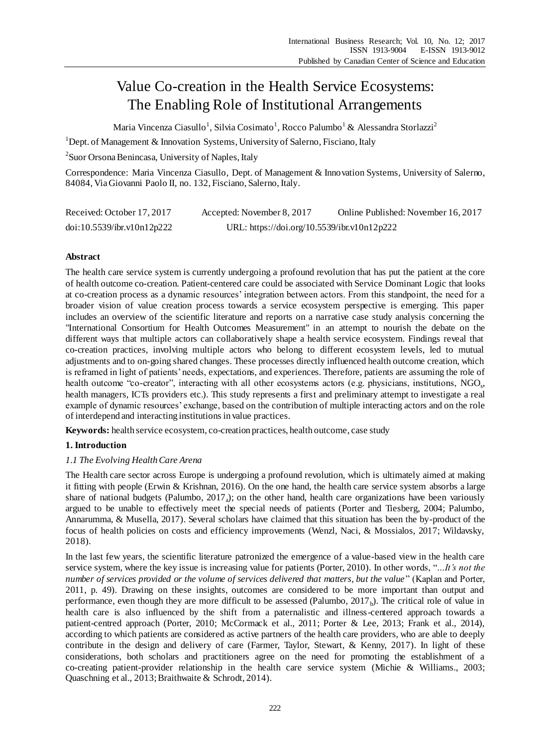# Value Co-creation in the Health Service Ecosystems: The Enabling Role of Institutional Arrangements

Maria Vincenza Ciasullo $^1$ , Silvia Cosimato $^1$ , Rocco Palumbo $^1$  & Alessandra Storlazzi $^2$ 

<sup>1</sup>Dept. of Management & Innovation Systems, University of Salerno, Fisciano, Italy

<sup>2</sup> Suor Orsona Benincasa, University of Naples, Italy

Correspondence: Maria Vincenza Ciasullo, Dept. of Management & Innovation Systems, University of Salerno, 84084, Via Giovanni Paolo II, no. 132, Fisciano, Salerno, Italy.

| Received: October 17, 2017 | Accepted: November 8, 2017                  | Online Published: November 16, 2017 |
|----------------------------|---------------------------------------------|-------------------------------------|
| doi:10.5539/ibr.v10n12p222 | URL: https://doi.org/10.5539/ibr.v10n12p222 |                                     |

# **Abstract**

The health care service system is currently undergoing a profound revolution that has put the patient at the core of health outcome co-creation. Patient-centered care could be associated with Service Dominant Logic that looks at co-creation process as a dynamic resources' integration between actors. From this standpoint, the need for a broader vision of value creation process towards a service ecosystem perspective is emerging. This paper includes an overview of the scientific literature and reports on a narrative case study analysis concerning the "International Consortium for Health Outcomes Measurement" in an attempt to nourish the debate on the different ways that multiple actors can collaboratively shape a health service ecosystem. Findings reveal that co-creation practices, involving multiple actors who belong to different ecosystem levels, led to mutual adjustments and to on-going shared changes. These processes directly influenced health outcome creation, which is reframed in light of patients' needs, expectations, and experiences. Therefore, patients are assuming the role of health outcome "co-creator", interacting with all other ecosystems actors (e.g. physicians, institutions, NGO<sub>s</sub>, health managers, ICTs providers etc.). This study represents a first and preliminary attempt to investigate a real example of dynamic resources' exchange, based on the contribution of multiple interacting actors and on the role of interdepend and interacting institutions in value practices.

**Keywords:** health service ecosystem, co-creation practices, health outcome, case study

# **1. Introduction**

# *1.1 The Evolving Health Care Arena*

The Health care sector across Europe is undergoing a profound revolution, which is ultimately aimed at making it fitting with people (Erwin & Krishnan, 2016). On the one hand, the health care service system absorbs a large share of national budgets (Palumbo,  $2017_a$ ); on the other hand, health care organizations have been variously argued to be unable to effectively meet the special needs of patients (Porter and Tiesberg, 2004; Palumbo, Annarumma, & Musella, 2017). Several scholars have claimed that this situation has been the by-product of the focus of health policies on costs and efficiency improvements (Wenzl, Naci, & Mossialos, 2017; Wildavsky, 2018).

In the last few years, the scientific literature patronized the emergence of a value-based view in the health care service system, where the key issue is increasing value for patients (Porter, 2010). In other words, "*…It's not the number of services provided or the volume of services delivered that matters, but the value*" (Kaplan and Porter, 2011, p. 49). Drawing on these insights, outcomes are considered to be more important than output and performance, even though they are more difficult to be assessed (Palumbo,  $2017<sub>b</sub>$ ). The critical role of value in health care is also influenced by the shift from a paternalistic and illness-centered approach towards a patient-centred approach (Porter, 2010; McCormack et al., 2011; Porter & Lee, 2013; Frank et al., 2014), according to which patients are considered as active partners of the health care providers, who are able to deeply contribute in the design and delivery of care (Farmer, Taylor, Stewart, & Kenny, 2017). In light of these considerations, both scholars and practitioners agree on the need for promoting the establishment of a co-creating patient-provider relationship in the health care service system (Michie & Williams., 2003; Quaschning et al., 2013; Braithwaite & Schrodt, 2014).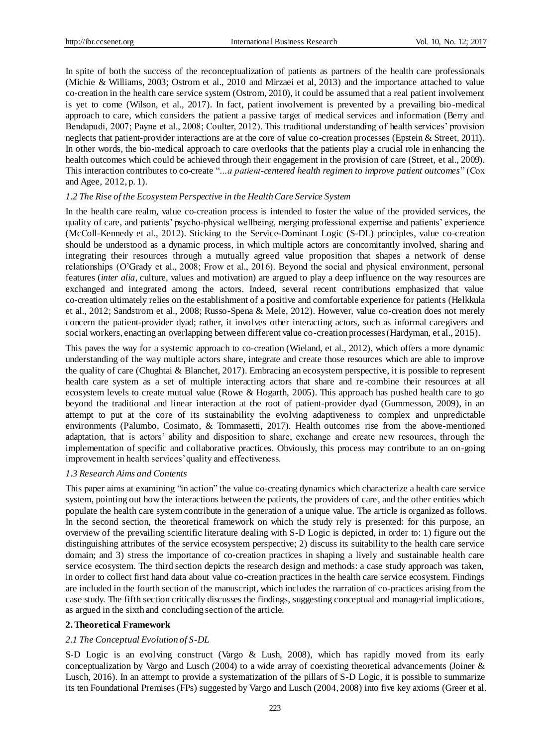In spite of both the success of the reconceptualization of patients as partners of the health care professionals (Michie & Williams, 2003; Ostrom et al., 2010 and Mirzaei et al, 2013) and the importance attached to value co-creation in the health care service system (Ostrom, 2010), it could be assumed that a real patient involvement is yet to come (Wilson, et al., 2017). In fact, patient involvement is prevented by a prevailing bio-medical approach to care, which considers the patient a passive target of medical services and information (Berry and Bendapudi, 2007; Payne et al., 2008; Coulter, 2012). This traditional understanding of health services' provision neglects that patient-provider interactions are at the core of value co-creation processes (Epstein & Street, 2011). In other words, the bio-medical approach to care overlooks that the patients play a crucial role in enhancing the health outcomes which could be achieved through their engagement in the provision of care (Street, et al., 2009). This interaction contributes to co-create "*…a patient-centered health regimen to improve patient outcomes*" (Cox and Agee, 2012, p. 1).

### *1.2 The Rise of the Ecosystem Perspective in the Health Care Service System*

In the health care realm, value co-creation process is intended to foster the value of the provided services, the quality of care, and patients' psycho-physical wellbeing, merging professional expertise and patients' experience (McColl-Kennedy et al., 2012). Sticking to the Service-Dominant Logic (S-DL) principles, value co-creation should be understood as a dynamic process, in which multiple actors are concomitantly involved, sharing and integrating their resources through a mutually agreed value proposition that shapes a network of dense relationships (O'Grady et al., 2008; Frow et al., 2016). Beyond the social and physical environment, personal features (*inter alia*, culture, values and motivation) are argued to play a deep influence on the way resources are exchanged and integrated among the actors. Indeed, several recent contributions emphasized that value co-creation ultimately relies on the establishment of a positive and comfortable experience for patients (Helkkula et al., 2012; Sandstrom et al., 2008; Russo-Spena & Mele, 2012). However, value co-creation does not merely concern the patient-provider dyad; rather, it involves other interacting actors, such as informal caregivers and social workers, enacting an overlapping between different value co-creation processes (Hardyman, et al., 2015).

This paves the way for a systemic approach to co-creation (Wieland, et al., 2012), which offers a more dynamic understanding of the way multiple actors share, integrate and create those resources which are able to improve the quality of care (Chughtai & Blanchet, 2017). Embracing an ecosystem perspective, it is possible to represent health care system as a set of multiple interacting actors that share and re-combine their resources at all ecosystem levels to create mutual value (Rowe & Hogarth, 2005). This approach has pushed health care to go beyond the traditional and linear interaction at the root of patient-provider dyad (Gummesson, 2009), in an attempt to put at the core of its sustainability the evolving adaptiveness to complex and unpredictable environments (Palumbo, Cosimato, & Tommasetti, 2017). Health outcomes rise from the above-mentioned adaptation, that is actors' ability and disposition to share, exchange and create new resources, through the implementation of specific and collaborative practices. Obviously, this process may contribute to an on-going improvement in health services' quality and effectiveness.

#### *1.3 Research Aims and Contents*

This paper aims at examining "in action" the value co-creating dynamics which characterize a health care service system, pointing out how the interactions between the patients, the providers of care, and the other entities which populate the health care system contribute in the generation of a unique value. The article is organized as follows. In the second section, the theoretical framework on which the study rely is presented: for this purpose, an overview of the prevailing scientific literature dealing with S-D Logic is depicted, in order to: 1) figure out the distinguishing attributes of the service ecosystem perspective; 2) discuss its suitability to the health care service domain; and 3) stress the importance of co-creation practices in shaping a lively and sustainable health care service ecosystem. The third section depicts the research design and methods: a case study approach was taken, in order to collect first hand data about value co-creation practices in the health care service ecosystem. Findings are included in the fourth section of the manuscript, which includes the narration of co-practices arising from the case study. The fifth section critically discusses the findings, suggesting conceptual and managerial implications, as argued in the sixth and concluding section of the article.

#### **2. Theoretical Framework**

# *2.1 The Conceptual Evolution of S-DL*

S-D Logic is an evolving construct (Vargo & Lush, 2008), which has rapidly moved from its early conceptualization by Vargo and Lusch (2004) to a wide array of coexisting theoretical advancements (Joiner & Lusch, 2016). In an attempt to provide a systematization of the pillars of S-D Logic, it is possible to summarize its ten Foundational Premises (FPs) suggested by Vargo and Lusch (2004, 2008) into five key axioms (Greer et al.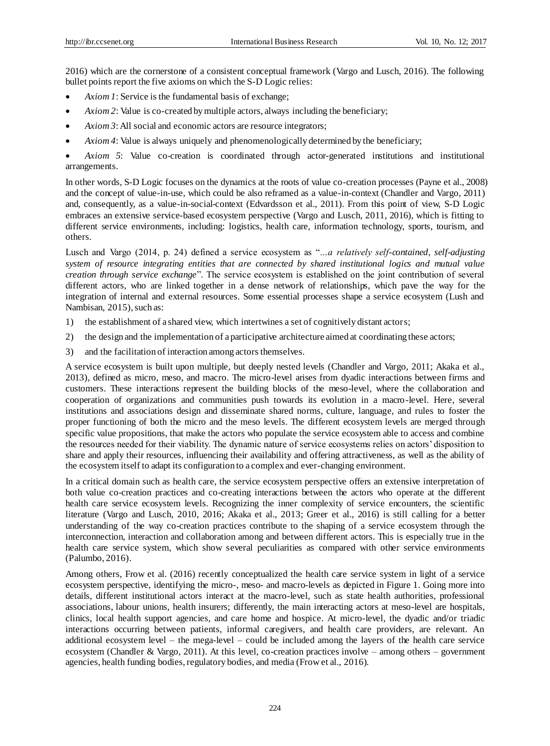2016) which are the cornerstone of a consistent conceptual framework (Vargo and Lusch, 2016). The following bullet points report the five axioms on which the S-D Logic relies:

- *Axiom 1*: Service is the fundamental basis of exchange;
- *Axiom 2*: Value is co-created by multiple actors, always including the beneficiary;
- *Axiom 3*: All social and economic actors are resource integrators;
- *Axiom 4*: Value is always uniquely and phenomenologically determined by the beneficiary;
- *Axiom 5*: Value co-creation is coordinated through actor-generated institutions and institutional arrangements.

In other words, S-D Logic focuses on the dynamics at the roots of value co-creation processes (Payne et al., 2008) and the concept of value-in-use, which could be also reframed as a value-in-context (Chandler and Vargo, 2011) and, consequently, as a value-in-social-context (Edvardsson et al., 2011). From this point of view, S-D Logic embraces an extensive service-based ecosystem perspective (Vargo and Lusch, 2011, 2016), which is fitting to different service environments, including: logistics, health care, information technology, sports, tourism, and others.

Lusch and Vargo (2014, p. 24) defined a service ecosystem as "*…a relatively self-contained, self-adjusting system of resource integrating entities that are connected by shared institutional logics and mutual value creation through service exchange*". The service ecosystem is established on the joint contribution of several different actors, who are linked together in a dense network of relationships, which pave the way for the integration of internal and external resources. Some essential processes shape a service ecosystem (Lush and Nambisan, 2015), such as:

- 1) the establishment of a shared view, which intertwines a set of cognitively distant actors;
- 2) the design and the implementation of a participative architecture aimed at coordinating these actors;
- 3) and the facilitation of interaction among actors themselves.

A service ecosystem is built upon multiple, but deeply nested levels (Chandler and Vargo, 2011; Akaka et al., 2013), defined as micro, meso, and macro. The micro-level arises from dyadic interactions between firms and customers. These interactions represent the building blocks of the meso-level, where the collaboration and cooperation of organizations and communities push towards its evolution in a macro-level. Here, several institutions and associations design and disseminate shared norms, culture, language, and rules to foster the proper functioning of both the micro and the meso levels. The different ecosystem levels are merged through specific value propositions, that make the actors who populate the service ecosystem able to access and combine the resources needed for their viability. The dynamic nature of service ecosystems relies on actors' disposition to share and apply their resources, influencing their availability and offering attractiveness, as well as the ability of the ecosystem itself to adapt its configuration to a complex and ever-changing environment.

In a critical domain such as health care, the service ecosystem perspective offers an extensive interpretation of both value co-creation practices and co-creating interactions between the actors who operate at the different health care service ecosystem levels. Recognizing the inner complexity of service encounters, the scientific literature (Vargo and Lusch, 2010, 2016; Akaka et al., 2013; Greer et al., 2016) is still calling for a better understanding of the way co-creation practices contribute to the shaping of a service ecosystem through the interconnection, interaction and collaboration among and between different actors. This is especially true in the health care service system, which show several peculiarities as compared with other service environments (Palumbo, 2016).

Among others, Frow et al. (2016) recently conceptualized the health care service system in light of a service ecosystem perspective, identifying the micro-, meso- and macro-levels as depicted in Figure 1. Going more into details, different institutional actors interact at the macro-level, such as state health authorities, professional associations, labour unions, health insurers; differently, the main interacting actors at meso-level are hospitals, clinics, local health support agencies, and care home and hospice. At micro-level, the dyadic and/or triadic interactions occurring between patients, informal caregivers, and health care providers, are relevant. An additional ecosystem level – the mega-level – could be included among the layers of the health care service ecosystem (Chandler & Vargo, 2011). At this level, co-creation practices involve – among others – government agencies, health funding bodies, regulatory bodies, and media (Frow et al., 2016).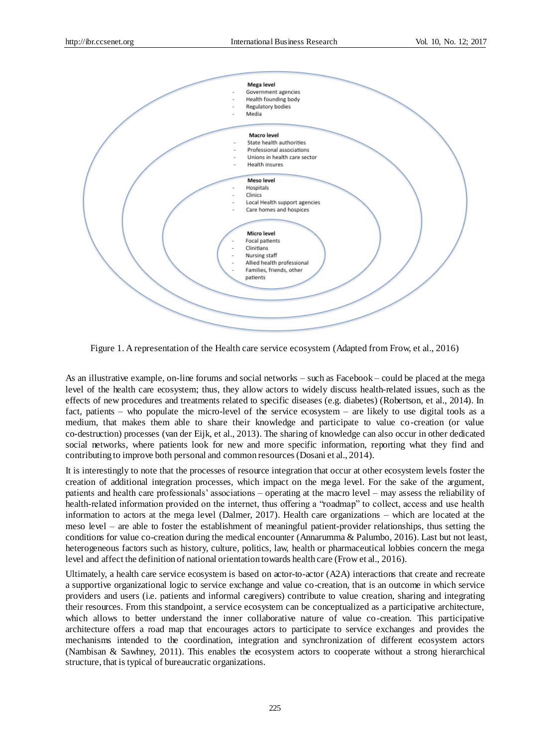

Figure 1. A representation of the Health care service ecosystem (Adapted from Frow, et al., 2016)

As an illustrative example, on-line forums and social networks – such as Facebook – could be placed at the mega level of the health care ecosystem; thus*,* they allow actors to widely discuss health-related issues, such as the effects of new procedures and treatments related to specific diseases (e.g. diabetes) (Robertson, et al., 2014). In fact, patients – who populate the micro-level of the service ecosystem – are likely to use digital tools as a medium, that makes them able to share their knowledge and participate to value co-creation (or value co-destruction) processes (van der Eijk, et al., 2013). The sharing of knowledge can also occur in other dedicated social networks, where patients look for new and more specific information, reporting what they find and contributing to improve both personal and common resources (Dosani et al., 2014).

It is interestingly to note that the processes of resource integration that occur at other ecosystem levels foster the creation of additional integration processes, which impact on the mega level. For the sake of the argument, patients and health care professionals' associations – operating at the macro level – may assess the reliability of health-related information provided on the internet, thus offering a "roadmap" to collect, access and use health information to actors at the mega level (Dalmer, 2017). Health care organizations – which are located at the meso level – are able to foster the establishment of meaningful patient-provider relationships, thus setting the conditions for value co-creation during the medical encounter (Annarumma & Palumbo, 2016). Last but not least, heterogeneous factors such as history, culture, politics, law, health or pharmaceutical lobbies concern the mega level and affect the definition of national orientation towards health care (Frow et al., 2016).

Ultimately, a health care service ecosystem is based on actor-to-actor (A2A) interactions that create and recreate a supportive organizational logic to service exchange and value co-creation, that is an outcome in which service providers and users (i.e. patients and informal caregivers) contribute to value creation, sharing and integrating their resources. From this standpoint, a service ecosystem can be conceptualized as a participative architecture, which allows to better understand the inner collaborative nature of value co-creation. This participative architecture offers a road map that encourages actors to participate to service exchanges and provides the mechanisms intended to the coordination, integration and synchronization of different ecosystem actors (Nambisan & Sawhney, 2011). This enables the ecosystem actors to cooperate without a strong hierarchical structure, that is typical of bureaucratic organizations.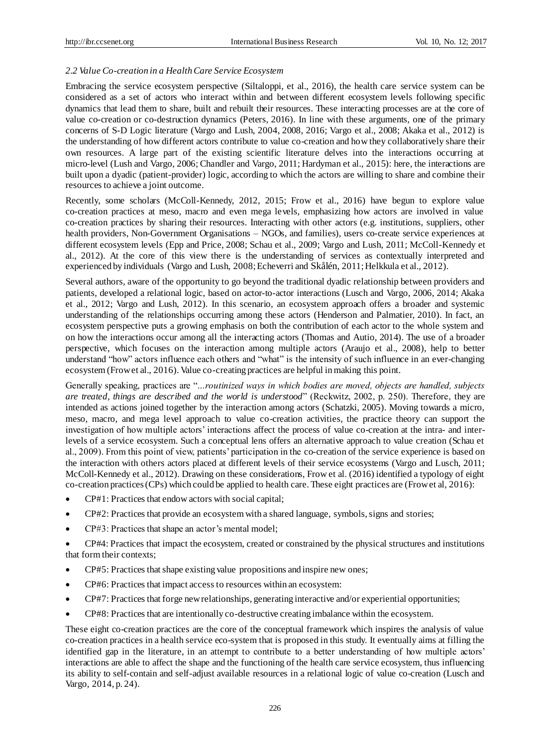# *2.2 Value Co-creation in a Health Care Service Ecosystem*

Embracing the service ecosystem perspective (Siltaloppi, et al., 2016), the health care service system can be considered as a set of actors who interact within and between different ecosystem levels following specific dynamics that lead them to share, built and rebuilt their resources. These interacting processes are at the core of value co-creation or co-destruction dynamics (Peters, 2016). In line with these arguments, one of the primary concerns of S-D Logic literature (Vargo and Lush, 2004, 2008, 2016; Vargo et al., 2008; Akaka et al., 2012) is the understanding of how different actors contribute to value co-creation and how they collaboratively share their own resources. A large part of the existing scientific literature delves into the interactions occurring at micro-level (Lush and Vargo, 2006; Chandler and Vargo, 2011; Hardyman et al., 2015): here, the interactions are built upon a dyadic (patient-provider) logic, according to which the actors are willing to share and combine their resources to achieve a joint outcome.

Recently, some scholars (McColl-Kennedy, 2012, 2015; Frow et al., 2016) have begun to explore value co-creation practices at meso, macro and even mega levels, emphasizing how actors are involved in value co-creation practices by sharing their resources. Interacting with other actors (e.g. institutions, suppliers, other health providers, Non-Government Organisations – NGOs, and families), users co-create service experiences at different ecosystem levels (Epp and Price, 2008; Schau et al., 2009; Vargo and Lush, 2011; McColl-Kennedy et al., 2012). At the core of this view there is the understanding of services as contextually interpreted and experienced by individuals (Vargo and Lush, 2008; Echeverri and Skålén, 2011; Helkkula et al., 2012).

Several authors, aware of the opportunity to go beyond the traditional dyadic relationship between providers and patients, developed a relational logic, based on actor-to-actor interactions (Lusch and Vargo, 2006, 2014; Akaka et al., 2012; Vargo and Lush, 2012). In this scenario, an ecosystem approach offers a broader and systemic understanding of the relationships occurring among these actors (Henderson and Palmatier, 2010). In fact, an ecosystem perspective puts a growing emphasis on both the contribution of each actor to the whole system and on how the interactions occur among all the interacting actors (Thomas and Autio, 2014). The use of a broader perspective, which focuses on the interaction among multiple actors (Araujo et al., 2008), help to better understand "how" actors influence each others and "what" is the intensity of such influence in an ever-changing ecosystem (Frow et al., 2016). Value co-creating practices are helpful in making this point.

Generally speaking, practices are "*…routinized ways in which bodies are moved, objects are handled, subjects are treated, things are described and the world is understood*" (Reckwitz, 2002, p. 250). Therefore, they are intended as actions joined together by the interaction among actors (Schatzki, 2005). Moving towards a micro, meso, macro, and mega level approach to value co-creation activities, the practice theory can support the investigation of how multiple actors' interactions affect the process of value co-creation at the intra- and interlevels of a service ecosystem. Such a conceptual lens offers an alternative approach to value creation (Schau et al., 2009). From this point of view, patients' participation in the co-creation of the service experience is based on the interaction with others actors placed at different levels of their service ecosystems (Vargo and Lusch, 2011; McColl-Kennedy et al., 2012). Drawing on these considerations, Frow et al. (2016) identified a typology of eight co-creation practices (CPs) which could be applied to health care. These eight practices are (Frow et al, 2016):

- CP#1: Practices that endow actors with social capital;
- CP#2: Practices that provide an ecosystem with a shared language, symbols, signs and stories;
- CP#3: Practices that shape an actor's mental model;

 CP#4: Practices that impact the ecosystem, created or constrained by the physical structures and institutions that form their contexts;

- CP#5: Practices that shape existing value propositions and inspire new ones;
- CP#6: Practices that impact access to resources within an ecosystem:
- CP#7: Practices that forge new relationships, generating interactive and/or experiential opportunities;
- CP#8: Practices that are intentionally co-destructive creating imbalance within the ecosystem.

These eight co-creation practices are the core of the conceptual framework which inspires the analysis of value co-creation practices in a health service eco-system that is proposed in this study. It eventually aims at filling the identified gap in the literature, in an attempt to contribute to a better understanding of how multiple actors' interactions are able to affect the shape and the functioning of the health care service ecosystem, thus influencing its ability to self-contain and self-adjust available resources in a relational logic of value co-creation (Lusch and Vargo, 2014, p. 24).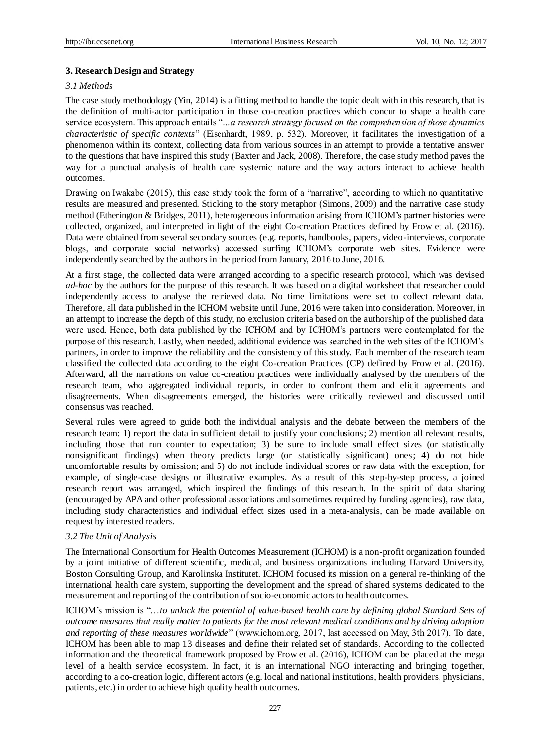# **3. Research Design and Strategy**

# *3.1 Methods*

The case study methodology (Yin, 2014) is a fitting method to handle the topic dealt with in this research, that is the definition of multi-actor participation in those co-creation practices which concur to shape a health care service ecosystem. This approach entails "*…a research strategy focused on the comprehension of those dynamics characteristic of specific contexts*" (Eisenhardt, 1989, p. 532). Moreover, it facilitates the investigation of a phenomenon within its context, collecting data from various sources in an attempt to provide a tentative answer to the questions that have inspired this study (Baxter and Jack, 2008). Therefore, the case study method paves the way for a punctual analysis of health care systemic nature and the way actors interact to achieve health outcomes.

Drawing on Iwakabe (2015), this case study took the form of a "narrative", according to which no quantitative results are measured and presented. Sticking to the story metaphor (Simons, 2009) and the narrative case study method (Etherington & Bridges, 2011), heterogeneous information arising from ICHOM's partner histories were collected, organized, and interpreted in light of the eight Co-creation Practices defined by Frow et al. (2016). Data were obtained from several secondary sources (e.g. reports, handbooks, papers, video-interviews, corporate blogs, and corporate social networks) accessed surfing ICHOM's corporate web sites. Evidence were independently searched by the authors in the period from January, 2016 to June, 2016.

At a first stage, the collected data were arranged according to a specific research protocol, which was devised *ad-hoc* by the authors for the purpose of this research. It was based on a digital worksheet that researcher could independently access to analyse the retrieved data. No time limitations were set to collect relevant data. Therefore, all data published in the ICHOM website until June, 2016 were taken into consideration. Moreover, in an attempt to increase the depth of this study, no exclusion criteria based on the authorship of the published data were used. Hence, both data published by the ICHOM and by ICHOM's partners were contemplated for the purpose of this research. Lastly, when needed, additional evidence was searched in the web sites of the ICHOM's partners, in order to improve the reliability and the consistency of this study. Each member of the research team classified the collected data according to the eight Co-creation Practices (CP) defined by Frow et al. (2016). Afterward, all the narrations on value co-creation practices were individually analysed by the members of the research team, who aggregated individual reports, in order to confront them and elicit agreements and disagreements. When disagreements emerged, the histories were critically reviewed and discussed until consensus was reached.

Several rules were agreed to guide both the individual analysis and the debate between the members of the research team: 1) report the data in sufficient detail to justify your conclusions; 2) mention all relevant results, including those that run counter to expectation; 3) be sure to include small effect sizes (or statistically nonsignificant findings) when theory predicts large (or statistically significant) ones; 4) do not hide uncomfortable results by omission; and 5) do not include individual scores or raw data with the exception, for example, of single-case designs or illustrative examples. As a result of this step-by-step process, a joined research report was arranged, which inspired the findings of this research. In the spirit of data sharing (encouraged by APA and other professional associations and sometimes required by funding agencies), raw data, including study characteristics and individual effect sizes used in a meta-analysis, can be made available on request by interested readers.

# *3.2 The Unit of Analysis*

The International Consortium for Health Outcomes Measurement (ICHOM) is a non-profit organization founded by a joint initiative of different scientific, medical, and business organizations including Harvard University, Boston Consulting Group, and Karolinska Institutet. ICHOM focused its mission on a general re-thinking of the international health care system, supporting the development and the spread of shared systems dedicated to the measurement and reporting of the contribution of socio-economic actors to health outcomes.

ICHOM's mission is "…*to unlock the potential of value-based health care by defining global Standard Sets of outcome measures that really matter to patients for the most relevant medical conditions and by driving adoption and reporting of these measures worldwide*" (www.ichom.org, 2017, last accessed on May, 3th 2017). To date, ICHOM has been able to map 13 diseases and define their related set of standards. According to the collected information and the theoretical framework proposed by Frow et al. (2016), ICHOM can be placed at the mega level of a health service ecosystem. In fact, it is an international NGO interacting and bringing together, according to a co-creation logic, different actors (e.g. local and national institutions, health providers, physicians, patients, etc.) in order to achieve high quality health outcomes.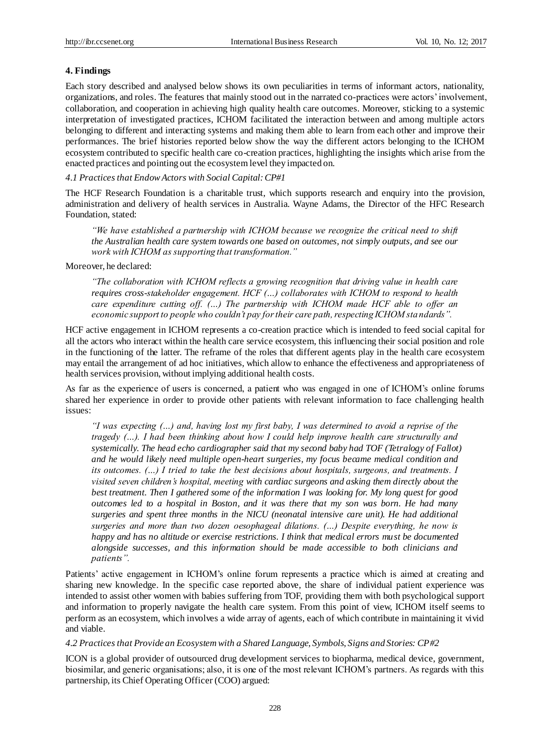# **4. Findings**

Each story described and analysed below shows its own peculiarities in terms of informant actors, nationality, organizations, and roles. The features that mainly stood out in the narrated co-practices were actors' involvement, collaboration, and cooperation in achieving high quality health care outcomes. Moreover, sticking to a systemic interpretation of investigated practices, ICHOM facilitated the interaction between and among multiple actors belonging to different and interacting systems and making them able to learn from each other and improve their performances. The brief histories reported below show the way the different actors belonging to the ICHOM ecosystem contributed to specific health care co-creation practices, highlighting the insights which arise from the enacted practices and pointing out the ecosystem level they impacted on.

*4.1 Practices that Endow Actors with Social Capital: CP#1*

The HCF Research Foundation is a charitable trust, which supports research and enquiry into the provision, administration and delivery of health services in Australia. Wayne Adams, the Director of the HFC Research Foundation, stated:

*"We have established a partnership with ICHOM because we recognize the critical need to shift the Australian health care system towards one based on outcomes, not simply outputs, and see our work with ICHOM as supporting that transformation."*

Moreover, he declared:

*"The collaboration with ICHOM reflects a growing recognition that driving value in health care requires cross-stakeholder engagement. HCF (…) collaborates with ICHOM to respond to health care expenditure cutting off. (…) The partnership with ICHOM made HCF able to offer an economic support to people who couldn't pay for their care path, respecting ICHOM standards".*

HCF active engagement in ICHOM represents a co-creation practice which is intended to feed social capital for all the actors who interact within the health care service ecosystem, this influencing their social position and role in the functioning of the latter. The reframe of the roles that different agents play in the health care ecosystem may entail the arrangement of ad hoc initiatives, which allow to enhance the effectiveness and appropriateness of health services provision, without implying additional health costs.

As far as the experience of users is concerned, a patient who was engaged in one of ICHOM's online forums shared her experience in order to provide other patients with relevant information to face challenging health issues:

*"I was expecting (…) and, having lost my first baby, I was determined to avoid a reprise of the tragedy (…). I had been thinking about how I could help improve health care structurally and systemically. The head echo cardiographer said that my second baby had TOF (Tetralogy of Fallot) and he would likely need multiple open-heart surgeries, my focus became medical condition and its outcomes. (…) I tried to take the best decisions about hospitals, surgeons, and treatments. I visited seven children's hospital, meeting with cardiac surgeons and asking them directly about the best treatment. Then I gathered some of the information I was looking for. My long quest for good outcomes led to a hospital in Boston, and it was there that my son was born. He had many surgeries and spent three months in the NICU (neonatal intensive care unit). He had additional surgeries and more than two dozen oesophageal dilations. (…) Despite everything, he now is happy and has no altitude or exercise restrictions. I think that medical errors must be documented alongside successes, and this information should be made accessible to both clinicians and patients".*

Patients' active engagement in ICHOM's online forum represents a practice which is aimed at creating and sharing new knowledge. In the specific case reported above, the share of individual patient experience was intended to assist other women with babies suffering from TOF, providing them with both psychological support and information to properly navigate the health care system. From this point of view, ICHOM itself seems to perform as an ecosystem, which involves a wide array of agents, each of which contribute in maintaining it vivid and viable.

*4.2 Practices that Provide an Ecosystem with a Shared Language, Symbols, Signs and Stories: CP#2*

ICON is a global provider of outsourced drug development services to biopharma, medical device, government, biosimilar, and generic organisations; also, it is one of the most relevant ICHOM's partners. As regards with this partnership, its Chief Operating Officer (COO) argued: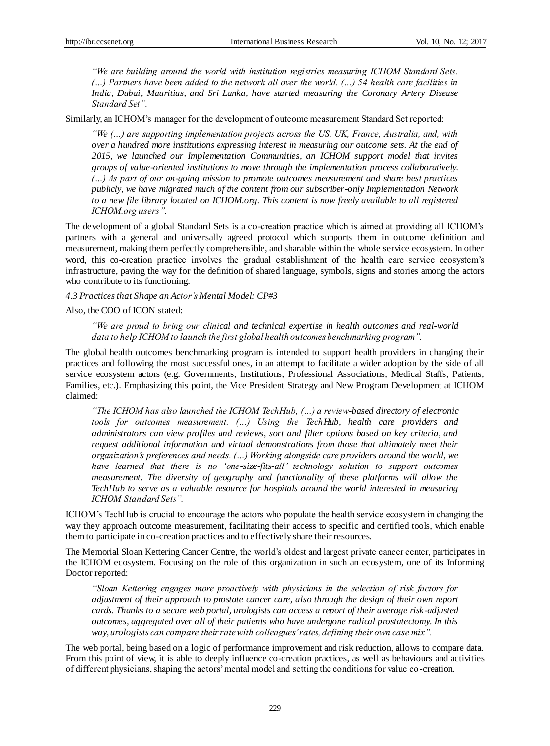*"We are building around the world with institution registries measuring ICHOM Standard Sets. (…) Partners have been added to the network all over the world. (…) 54 health care facilities in India, Dubai, Mauritius, and Sri Lanka, have started measuring the Coronary Artery Disease Standard Set".*

Similarly, an ICHOM's manager for the development of outcome measurement Standard Set reported:

*"We (…) are supporting implementation projects across the US, UK, France, Australia, and, with over a hundred more institutions expressing interest in measuring our outcome sets. At the end of 2015, we launched our Implementation Communities, an ICHOM support model that invites groups of value-oriented institutions to move through the implementation process collaboratively. (…) As part of our on-going mission to promote outcomes measurement and share best practices publicly, we have migrated much of the content from our subscriber-only Implementation Network to a new file library located on ICHOM.org. This content is now freely available to all registered ICHOM.org users".*

The development of a global Standard Sets is a co-creation practice which is aimed at providing all ICHOM's partners with a general and universally agreed protocol which supports them in outcome definition and measurement, making them perfectly comprehensible, and sharable within the whole service ecosystem. In other word, this co-creation practice involves the gradual establishment of the health care service ecosystem's infrastructure, paving the way for the definition of shared language, symbols, signs and stories among the actors who contribute to its functioning.

*4.3 Practices that Shape an Actor's Mental Model: CP#3*

Also, the COO of ICON stated:

*"We are proud to bring our clinical and technical expertise in health outcomes and real-world data to help ICHOM to launch the first global health outcomes benchmarking program".*

The global health outcomes benchmarking program is intended to support health providers in changing their practices and following the most successful ones, in an attempt to facilitate a wider adoption by the side of all service ecosystem actors (e.g. Governments, Institutions, Professional Associations, Medical Staffs, Patients, Families, etc.). Emphasizing this point, the Vice President Strategy and New Program Development at ICHOM claimed:

*"The ICHOM has also launched the ICHOM TechHub, (…) a review-based directory of electronic tools for outcomes measurement. (…) Using the TechHub, health care providers and administrators can view profiles and reviews, sort and filter options based on key criteria, and request additional information and virtual demonstrations from those that ultimately meet their organization's preferences and needs. (…) Working alongside care providers around the world, we have learned that there is no 'one-size-fits-all' technology solution to support outcomes measurement. The diversity of geography and functionality of these platforms will allow the TechHub to serve as a valuable resource for hospitals around the world interested in measuring ICHOM Standard Sets".*

ICHOM's TechHub is crucial to encourage the actors who populate the health service ecosystem in changing the way they approach outcome measurement, facilitating their access to specific and certified tools, which enable them to participate in co-creation practices and to effectively share their resources.

The Memorial Sloan Kettering Cancer Centre, the world's oldest and largest private cancer center, participates in the ICHOM ecosystem. Focusing on the role of this organization in such an ecosystem, one of its Informing Doctor reported:

*"Sloan Kettering engages more proactively with physicians in the selection of risk factors for adjustment of their approach to prostate cancer care, also through the design of their own report cards. Thanks to a secure web portal, urologists can access a report of their average risk-adjusted outcomes, aggregated over all of their patients who have undergone radical prostatectomy. In this way, urologists can compare their rate with colleagues' rates, defining their own case mix".*

The web portal, being based on a logic of performance improvement and risk reduction, allows to compare data. From this point of view, it is able to deeply influence co-creation practices, as well as behaviours and activities of different physicians, shaping the actors' mental model and setting the conditions for value co-creation.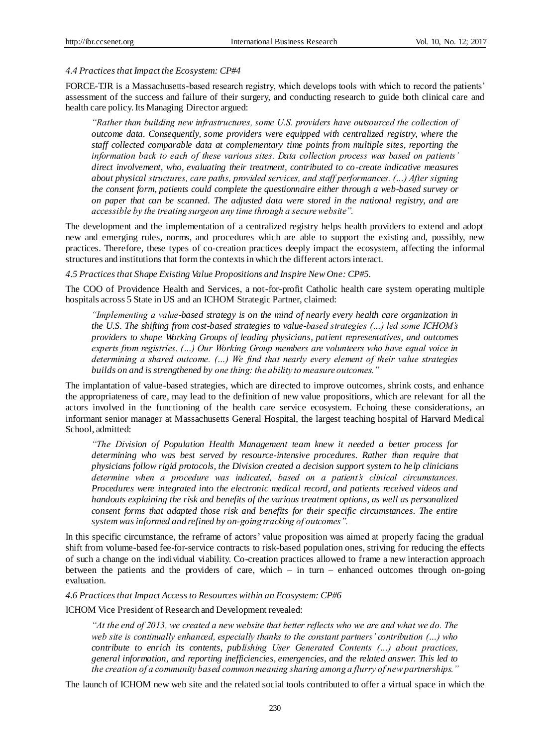#### *4.4 Practices that Impact the Ecosystem: CP#4*

FORCE-TJR is a Massachusetts-based research registry, which develops tools with which to record the patients' assessment of the success and failure of their surgery, and conducting research to guide both clinical care and health care policy. Its Managing Director argued:

*"Rather than building new infrastructures, some U.S. providers have outsourced the collection of outcome data. Consequently, some providers were equipped with centralized registry, where the staff collected comparable data at complementary time points from multiple sites, reporting the information back to each of these various sites. Data collection process was based on patients' direct involvement, who, evaluating their treatment, contributed to co-create indicative measures about physical structures, care paths, provided services, and staff performances. (…) After signing the consent form, patients could complete the questionnaire either through a web-based survey or on paper that can be scanned. The adjusted data were stored in the national registry, and are accessible by the treating surgeon any time through a secure website".*

The development and the implementation of a centralized registry helps health providers to extend and adopt new and emerging rules, norms, and procedures which are able to support the existing and, possibly, new practices. Therefore, these types of co-creation practices deeply impact the ecosystem, affecting the informal structures and institutions that form the contexts in which the different actors interact.

*4.5 Practices that Shape Existing Value Propositions and Inspire New One: CP#5.*

The COO of Providence Health and Services, a not-for-profit Catholic health care system operating multiple hospitals across 5 State in US and an ICHOM Strategic Partner, claimed:

*"Implementing a value-based strategy is on the mind of nearly every health care organization in the U.S. The shifting from cost-based strategies to value-based strategies (…) led some ICHOM's providers to shape Working Groups of leading physicians, patient representatives, and outcomes experts from registries. (…) Our Working Group members are volunteers who have equal voice in determining a shared outcome. (…) We find that nearly every element of their value strategies builds on and is strengthened by one thing: the ability to measure outcomes."*

The implantation of value-based strategies, which are directed to improve outcomes, shrink costs, and enhance the appropriateness of care, may lead to the definition of new value propositions, which are relevant for all the actors involved in the functioning of the health care service ecosystem. Echoing these considerations, an informant senior manager at Massachusetts General Hospital, the largest teaching hospital of Harvard Medical School, admitted:

*"The Division of Population Health Management team knew it needed a better process for determining who was best served by resource-intensive procedures. Rather than require that physicians follow rigid protocols, the Division created a decision support system to help clinicians determine when a procedure was indicated, based on a patient's clinical circumstances. Procedures were integrated into the electronic medical record, and patients received videos and handouts explaining the risk and benefits of the various treatment options, as well as personalized consent forms that adapted those risk and benefits for their specific circumstances. The entire system was informed and refined by on-going tracking of outcomes".*

In this specific circumstance, the reframe of actors' value proposition was aimed at properly facing the gradual shift from volume-based fee-for-service contracts to risk-based population ones, striving for reducing the effects of such a change on the individual viability. Co-creation practices allowed to frame a new interaction approach between the patients and the providers of care, which – in turn – enhanced outcomes through on-going evaluation.

*4.6 Practices that Impact Access to Resources within an Ecosystem: CP#6*

ICHOM Vice President of Research and Development revealed:

*"At the end of 2013, we created a new website that better reflects who we are and what we do. The web site is continually enhanced, especially thanks to the constant partners' contribution (…) who contribute to enrich its contents, publishing User Generated Contents (…) about practices, general information, and reporting inefficiencies, emergencies, and the related answer. This led to the creation of a community based common meaning sharing among a flurry of new partnerships."*

The launch of ICHOM new web site and the related social tools contributed to offer a virtual space in which the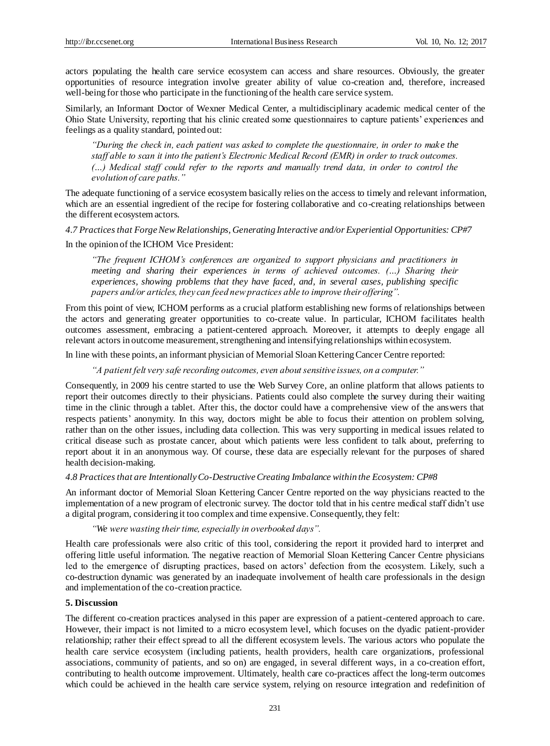actors populating the health care service ecosystem can access and share resources. Obviously, the greater opportunities of resource integration involve greater ability of value co-creation and, therefore, increased well-being for those who participate in the functioning of the health care service system.

Similarly, an Informant Doctor of Wexner Medical Center, a multidisciplinary academic medical center of the Ohio State University, reporting that his clinic created some questionnaires to capture patients' experiences and feelings as a quality standard, pointed out:

*"During the check in, each patient was asked to complete the questionnaire, in order to mak e the staff able to scan it into the patient's Electronic Medical Record (EMR) in order to track outcomes. (…) Medical staff could refer to the reports and manually trend data, in order to control the evolution of care paths."*

The adequate functioning of a service ecosystem basically relies on the access to timely and relevant information, which are an essential ingredient of the recipe for fostering collaborative and co-creating relationships between the different ecosystem actors.

#### *4.7 Practices that Forge New Relationships, Generating Interactive and/or Experiential Opportunities: CP#7*

# In the opinion of the ICHOM Vice President:

*"The frequent ICHOM's conferences are organized to support physicians and practitioners in meeting and sharing their experiences in terms of achieved outcomes. (...) Sharing their experiences, showing problems that they have faced, and, in several cases, publishing specific papers and/or articles, they can feed new practices able to improve their offering".*

From this point of view, ICHOM performs as a crucial platform establishing new forms of relationships between the actors and generating greater opportunities to co-create value. In particular, ICHOM facilitates health outcomes assessment, embracing a patient-centered approach. Moreover, it attempts to deeply engage all relevant actors in outcome measurement, strengthening and intensifying relationships within ecosystem.

In line with these points, an informant physician of Memorial Sloan Kettering Cancer Centre reported:

*"A patient felt very safe recording outcomes, even about sensitive issues, on a computer."* 

Consequently, in 2009 his centre started to use the Web Survey Core, an online platform that allows patients to report their outcomes directly to their physicians. Patients could also complete the survey during their waiting time in the clinic through a tablet. After this, the doctor could have a comprehensive view of the answers that respects patients' anonymity. In this way, doctors might be able to focus their attention on problem solving, rather than on the other issues, including data collection. This was very supporting in medical issues related to critical disease such as prostate cancer, about which patients were less confident to talk about, preferring to report about it in an anonymous way. Of course, these data are especially relevant for the purposes of shared health decision-making.

#### *4.8 Practices that are Intentionally Co-Destructive Creating Imbalance within the Ecosystem: CP#8*

An informant doctor of Memorial Sloan Kettering Cancer Centre reported on the way physicians reacted to the implementation of a new program of electronic survey. The doctor told that in his centre medical staff didn't use a digital program, considering it too complex and time expensive. Consequently, they felt:

#### *"We were wasting their time, especially in overbooked days".*

Health care professionals were also critic of this tool, considering the report it provided hard to interpret and offering little useful information. The negative reaction of Memorial Sloan Kettering Cancer Centre physicians led to the emergence of disrupting practices, based on actors' defection from the ecosystem. Likely, such a co-destruction dynamic was generated by an inadequate involvement of health care professionals in the design and implementation of the co-creation practice.

#### **5. Discussion**

The different co-creation practices analysed in this paper are expression of a patient-centered approach to care. However, their impact is not limited to a micro ecosystem level, which focuses on the dyadic patient-provider relationship; rather their effect spread to all the different ecosystem levels. The various actors who populate the health care service ecosystem (including patients, health providers, health care organizations, professional associations, community of patients, and so on) are engaged, in several different ways, in a co-creation effort, contributing to health outcome improvement. Ultimately, health care co-practices affect the long-term outcomes which could be achieved in the health care service system, relying on resource integration and redefinition of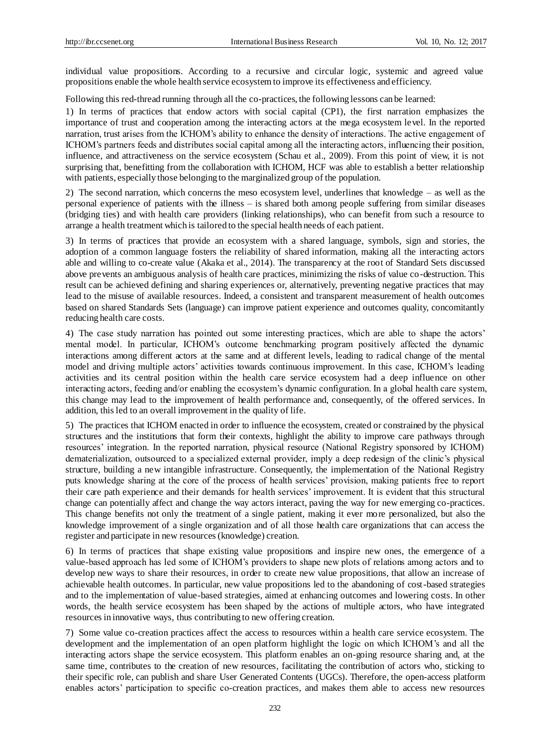individual value propositions. According to a recursive and circular logic, systemic and agreed value propositions enable the whole health service ecosystem to improve its effectiveness and efficiency.

Following this red-thread running through all the co-practices, the following lessons can be learned:

1) In terms of practices that endow actors with social capital (CP1), the first narration emphasizes the importance of trust and cooperation among the interacting actors at the mega ecosystem level. In the reported narration, trust arises from the ICHOM's ability to enhance the density of interactions. The active engagement of ICHOM's partners feeds and distributes social capital among all the interacting actors, influencing their position, influence, and attractiveness on the service ecosystem (Schau et al., 2009). From this point of view, it is not surprising that, benefitting from the collaboration with ICHOM, HCF was able to establish a better relationship with patients, especially those belonging to the marginalized group of the population.

2) The second narration, which concerns the meso ecosystem level, underlines that knowledge – as well as the personal experience of patients with the illness – is shared both among people suffering from similar diseases (bridging ties) and with health care providers (linking relationships), who can benefit from such a resource to arrange a health treatment which is tailored to the special health needs of each patient.

3) In terms of practices that provide an ecosystem with a shared language, symbols, sign and stories, the adoption of a common language fosters the reliability of shared information, making all the interacting actors able and willing to co-create value (Akaka et al., 2014). The transparency at the root of Standard Sets discussed above prevents an ambiguous analysis of health care practices, minimizing the risks of value co-destruction. This result can be achieved defining and sharing experiences or, alternatively, preventing negative practices that may lead to the misuse of available resources. Indeed, a consistent and transparent measurement of health outcomes based on shared Standards Sets (language) can improve patient experience and outcomes quality, concomitantly reducing health care costs.

4) The case study narration has pointed out some interesting practices, which are able to shape the actors' mental model. In particular, ICHOM's outcome benchmarking program positively affected the dynamic interactions among different actors at the same and at different levels, leading to radical change of the mental model and driving multiple actors' activities towards continuous improvement. In this case, ICHOM's leading activities and its central position within the health care service ecosystem had a deep influence on other interacting actors, feeding and/or enabling the ecosystem's dynamic configuration. In a global health care system, this change may lead to the improvement of health performance and, consequently, of the offered services. In addition, this led to an overall improvement in the quality of life.

5) The practices that ICHOM enacted in order to influence the ecosystem, created or constrained by the physical structures and the institutions that form their contexts, highlight the ability to improve care pathways through resources' integration. In the reported narration, physical resource (National Registry sponsored by ICHOM) dematerialization, outsourced to a specialized external provider, imply a deep redesign of the clinic's physical structure, building a new intangible infrastructure. Consequently, the implementation of the National Registry puts knowledge sharing at the core of the process of health services' provision, making patients free to report their care path experience and their demands for health services' improvement. It is evident that this structural change can potentially affect and change the way actors interact, paving the way for new emerging co-practices. This change benefits not only the treatment of a single patient, making it ever more personalized, but also the knowledge improvement of a single organization and of all those health care organizations that can access the register and participate in new resources (knowledge) creation.

6) In terms of practices that shape existing value propositions and inspire new ones, the emergence of a value-based approach has led some of ICHOM's providers to shape new plots of relations among actors and to develop new ways to share their resources, in order to create new value propositions, that allow an increase of achievable health outcomes. In particular, new value propositions led to the abandoning of cost-based strategies and to the implementation of value-based strategies, aimed at enhancing outcomes and lowering costs. In other words, the health service ecosystem has been shaped by the actions of multiple actors, who have integrated resources in innovative ways, thus contributing to new offering creation.

7) Some value co-creation practices affect the access to resources within a health care service ecosystem. The development and the implementation of an open platform highlight the logic on which ICHOM's and all the interacting actors shape the service ecosystem. This platform enables an on-going resource sharing and, at the same time, contributes to the creation of new resources, facilitating the contribution of actors who, sticking to their specific role, can publish and share User Generated Contents (UGCs). Therefore, the open-access platform enables actors' participation to specific co-creation practices, and makes them able to access new resources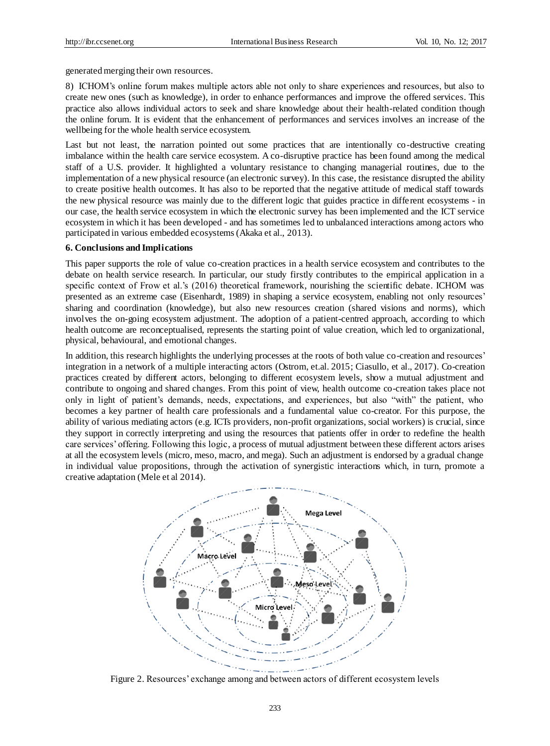generated merging their own resources.

8) ICHOM's online forum makes multiple actors able not only to share experiences and resources, but also to create new ones (such as knowledge), in order to enhance performances and improve the offered services. This practice also allows individual actors to seek and share knowledge about their health-related condition though the online forum. It is evident that the enhancement of performances and services involves an increase of the wellbeing for the whole health service ecosystem.

Last but not least, the narration pointed out some practices that are intentionally co-destructive creating imbalance within the health care service ecosystem. A co-disruptive practice has been found among the medical staff of a U.S. provider. It highlighted a voluntary resistance to changing managerial routines, due to the implementation of a new physical resource (an electronic survey). In this case, the resistance disrupted the ability to create positive health outcomes. It has also to be reported that the negative attitude of medical staff towards the new physical resource was mainly due to the different logic that guides practice in different ecosystems - in our case, the health service ecosystem in which the electronic survey has been implemented and the ICT service ecosystem in which it has been developed - and has sometimes led to unbalanced interactions among actors who participated in various embedded ecosystems (Akaka et al., 2013).

#### **6. Conclusions and Implications**

This paper supports the role of value co-creation practices in a health service ecosystem and contributes to the debate on health service research. In particular, our study firstly contributes to the empirical application in a specific context of Frow et al.'s (2016) theoretical framework, nourishing the scientific debate. ICHOM was presented as an extreme case (Eisenhardt, 1989) in shaping a service ecosystem, enabling not only resources' sharing and coordination (knowledge), but also new resources creation (shared visions and norms), which involves the on-going ecosystem adjustment. The adoption of a patient-centred approach, according to which health outcome are reconceptualised, represents the starting point of value creation, which led to organizational, physical, behavioural, and emotional changes.

In addition, this research highlights the underlying processes at the roots of both value co-creation and resources' integration in a network of a multiple interacting actors (Ostrom, et.al. 2015; Ciasullo, et al., 2017). Co-creation practices created by different actors, belonging to different ecosystem levels, show a mutual adjustment and contribute to ongoing and shared changes. From this point of view, health outcome co-creation takes place not only in light of patient's demands, needs, expectations, and experiences, but also "with" the patient, who becomes a key partner of health care professionals and a fundamental value co-creator. For this purpose, the ability of various mediating actors (e.g. ICTs providers, non-profit organizations, social workers) is crucial, since they support in correctly interpreting and using the resources that patients offer in order to redefine the health care services' offering. Following this logic, a process of mutual adjustment between these different actors arises at all the ecosystem levels (micro, meso, macro, and mega). Such an adjustment is endorsed by a gradual change in individual value propositions, through the activation of synergistic interactions which, in turn, promote a creative adaptation (Mele et al 2014).



Figure 2. Resources' exchange among and between actors of different ecosystem levels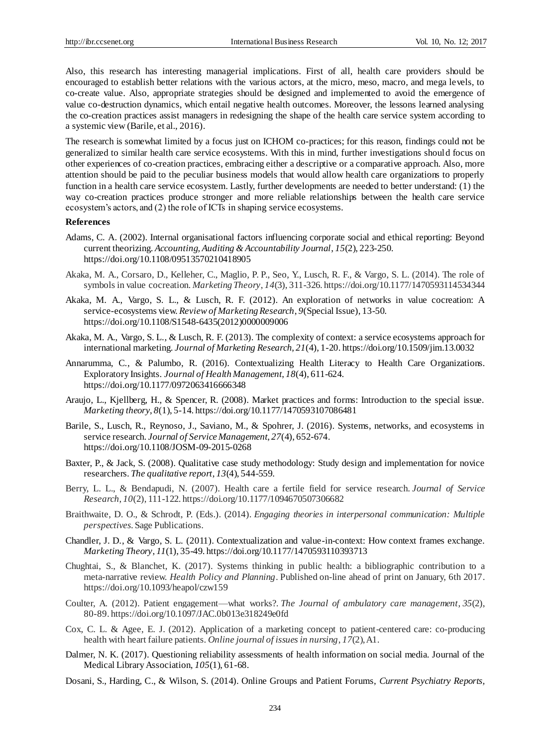Also, this research has interesting managerial implications. First of all, health care providers should be encouraged to establish better relations with the various actors, at the micro, meso, macro, and mega levels, to co-create value. Also, appropriate strategies should be designed and implemented to avoid the emergence of value co-destruction dynamics, which entail negative health outcomes. Moreover, the lessons learned analysing the co-creation practices assist managers in redesigning the shape of the health care service system according to a systemic view (Barile, et al., 2016).

The research is somewhat limited by a focus just on ICHOM co-practices; for this reason, findings could not be generalized to similar health care service ecosystems. With this in mind, further investigations should focus on other experiences of co-creation practices, embracing either a descriptive or a comparative approach. Also, more attention should be paid to the peculiar business models that would allow health care organizations to properly function in a health care service ecosystem. Lastly, further developments are needed to better understand: (1) the way co-creation practices produce stronger and more reliable relationships between the health care service ecosystem's actors, and (2) the role of ICTs in shaping service ecosystems.

#### **References**

- Adams, C. A. (2002). Internal organisational factors influencing corporate social and ethical reporting: Beyond current theorizing. *Accounting, Auditing & Accountability Journal*, *15*(2), 223-250. https://doi.org/10.1108/09513570210418905
- Akaka, M. A., Corsaro, D., Kelleher, C., Maglio, P. P., Seo, Y., Lusch, R. F., & Vargo, S. L. (2014). The role of symbols in value cocreation. *Marketing Theory*, *14*(3), 311-326. https://doi.org/10.1177/1470593114534344
- Akaka, M. A., Vargo, S. L., & Lusch, R. F. (2012). An exploration of networks in value cocreation: A service-ecosystems view. *Review of Marketing Research*, *9*(Special Issue), 13-50. https://doi.org/10.1108/S1548-6435(2012)0000009006
- Akaka, M. A., Vargo, S. L., & Lusch, R. F. (2013). The complexity of context: a service ecosystems approach for international marketing. *Journal of Marketing Research*, *21*(4), 1-20. https://doi.org/10.1509/jim.13.0032
- Annarumma, C., & Palumbo, R. (2016). Contextualizing Health Literacy to Health Care Organizations. Exploratory Insights. *Journal of Health Management*, *18*(4), 611-624. https://doi.org/10.1177/0972063416666348
- Araujo, L., Kjellberg, H., & Spencer, R. (2008). Market practices and forms: Introduction to the special issue. *Marketing theory*, *8*(1), 5-14. https://doi.org/10.1177/1470593107086481
- Barile, S., Lusch, R., Reynoso, J., Saviano, M., & Spohrer, J. (2016). Systems, networks, and ecosystems in service research. *Journal of Service Management*, *27*(4), 652-674. https://doi.org/10.1108/JOSM-09-2015-0268
- Baxter, P., & Jack, S. (2008). Qualitative case study methodology: Study design and implementation for novice researchers. *The qualitative report*, *13*(4), 544-559.
- Berry, L. L., & Bendapudi, N. (2007). Health care a fertile field for service research. *Journal of Service Research*, *10*(2), 111-122. https://doi.org/10.1177/1094670507306682
- Braithwaite, D. O., & Schrodt, P. (Eds.). (2014). *Engaging theories in interpersonal communication: Multiple perspectives*. Sage Publications.
- Chandler, J. D., & Vargo, S. L. (2011). Contextualization and value-in-context: How context frames exchange. *Marketing Theory*, *11*(1), 35-49. https://doi.org/10.1177/1470593110393713
- Chughtai, S., & Blanchet, K. (2017). Systems thinking in public health: a bibliographic contribution to a meta-narrative review. *Health Policy and Planning*. Published on-line ahead of print on January, 6th 2017. https://doi.org/10.1093/heapol/czw159
- Coulter, A. (2012). Patient engagement—what works?. *The Journal of ambulatory care management*, *35*(2), 80-89. https://doi.org/10.1097/JAC.0b013e318249e0fd
- Cox, C. L. & Agee, E. J. (2012). Application of a marketing concept to patient-centered care: co-producing health with heart failure patients. *Online journal of issues in nursing*, *17*(2), A1.
- Dalmer, N. K. (2017). Questioning reliability assessments of health information on social media. Journal of the Medical Library Association, *105*(1), 61-68.
- Dosani, S., Harding, C., & Wilson, S. (2014). Online Groups and Patient Forums, *Current Psychiatry Reports,*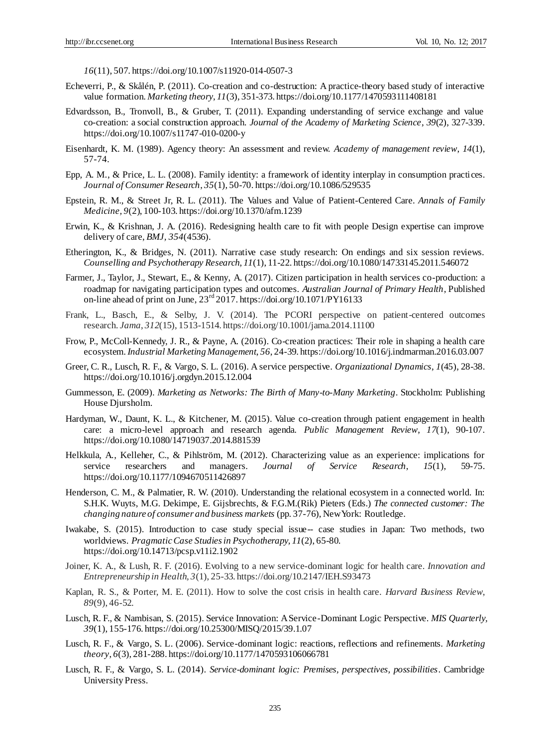*16*(11), 507. https://doi.org/10.1007/s11920-014-0507-3

- Echeverri, P., & Skålén, P. (2011). Co-creation and co-destruction: A practice-theory based study of interactive value formation. *Marketing theory*, *11*(3), 351-373. https://doi.org/10.1177/1470593111408181
- Edvardsson, B., Tronvoll, B., & Gruber, T. (2011). Expanding understanding of service exchange and value co-creation: a social construction approach. *Journal of the Academy of Marketing Science*, *39*(2), 327-339. https://doi.org/10.1007/s11747-010-0200-y
- Eisenhardt, K. M. (1989). Agency theory: An assessment and review. *Academy of management review*, *14*(1), 57-74.
- Epp, A. M., & Price, L. L. (2008). Family identity: a framework of identity interplay in consumption practices. *Journal of Consumer Research*, *35*(1), 50-70. https://doi.org/10.1086/529535
- Epstein, R. M., & Street Jr, R. L. (2011). The Values and Value of Patient-Centered Care. *Annals of Family Medicine, 9*(2), 100-103. https://doi.org/10.1370/afm.1239
- Erwin, K., & Krishnan, J. A. (2016). Redesigning health care to fit with people Design expertise can improve delivery of care, *BMJ, 354*(4536).
- Etherington, K., & Bridges, N. (2011). Narrative case study research: On endings and six session reviews. *Counselling and Psychotherapy Research*, *11*(1), 11-22. https://doi.org/10.1080/14733145.2011.546072
- Farmer, J., Taylor, J., Stewart, E., & Kenny, A. (2017). Citizen participation in health services co-production: a roadmap for navigating participation types and outcomes. *Australian Journal of Primary Health*, Published on-line ahead of print on June,  $23<sup>rd</sup> 2017$ . https://doi.org/10.1071/PY16133
- Frank, L., Basch, E., & Selby, J. V. (2014). The PCORI perspective on patient-centered outcomes research. *Jama*, *312*(15), 1513-1514. https://doi.org/10.1001/jama.2014.11100
- Frow, P., McColl-Kennedy, J. R., & Payne, A. (2016). Co-creation practices: Their role in shaping a health care ecosystem. *Industrial Marketing Management*, *56*, 24-39. https://doi.org/10.1016/j.indmarman.2016.03.007
- Greer, C. R., Lusch, R. F., & Vargo, S. L. (2016). A service perspective. *Organizational Dynamics*, *1*(45), 28-38. https://doi.org/10.1016/j.orgdyn.2015.12.004
- Gummesson, E. (2009). *Marketing as Networks: The Birth of Many-to-Many Marketing*. Stockholm: Publishing House Djursholm.
- Hardyman, W., Daunt, K. L., & Kitchener, M. (2015). Value co-creation through patient engagement in health care: a micro-level approach and research agenda. *Public Management Review*, *17*(1), 90-107. https://doi.org/10.1080/14719037.2014.881539
- Helkkula, A., Kelleher, C., & Pihlström, M. (2012). Characterizing value as an experience: implications for service researchers and managers. *Journal of Service Research*, *15*(1), 59-75. https://doi.org/10.1177/1094670511426897
- Henderson, C. M., & Palmatier, R. W. (2010). Understanding the relational ecosystem in a connected world. In: S.H.K. Wuyts, M.G. Dekimpe, E. Gijsbrechts, & F.G.M.(Rik) Pieters (Eds.) *The connected customer: The changing nature of consumer and business markets* (pp. 37-76), New York: Routledge.
- Iwakabe, S. (2015). Introduction to case study special issue-- case studies in Japan: Two methods, two worldviews. *Pragmatic Case Studies in Psychotherapy, 11*(2), 65-80. https://doi.org/10.14713/pcsp.v11i2.1902
- Joiner, K. A., & Lush, R. F. (2016). Evolving to a new service-dominant logic for health care. *Innovation and Entrepreneurship in Health, 3*(1), 25-33. https://doi.org/10.2147/IEH.S93473
- Kaplan, R. S., & Porter, M. E. (2011). How to solve the cost crisis in health care. *Harvard Business Review*, *89*(9), 46-52.
- Lusch, R. F., & Nambisan, S. (2015). Service Innovation: A Service-Dominant Logic Perspective. *MIS Quarterly, 39*(1), 155-176. https://doi.org/10.25300/MISQ/2015/39.1.07
- Lusch, R. F., & Vargo, S. L. (2006). Service-dominant logic: reactions, reflections and refinements. *Marketing theory*, *6*(3), 281-288. https://doi.org/10.1177/1470593106066781
- Lusch, R. F., & Vargo, S. L. (2014). *Service-dominant logic: Premises, perspectives, possibilities*. Cambridge University Press.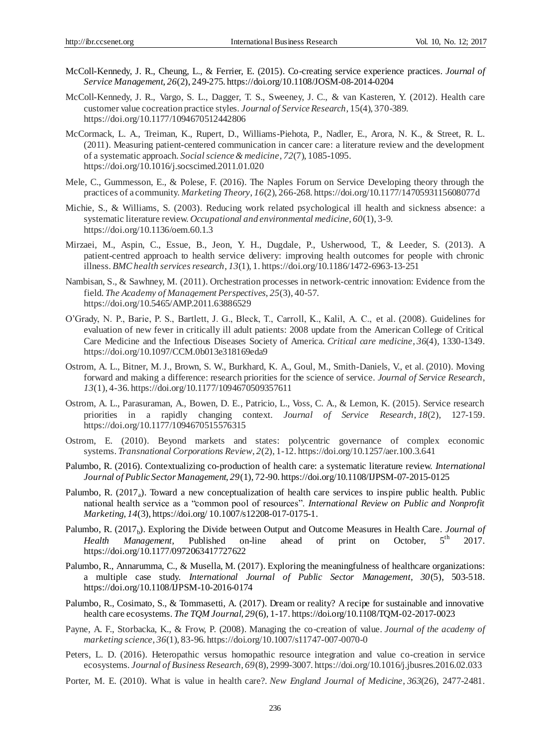- McColl-Kennedy, J. R., Cheung, L., & Ferrier, E. (2015). Co-creating service experience practices. *Journal of Service Management*, *26*(2), 249-275. https://doi.org/10.1108/JOSM-08-2014-0204
- McColl-Kennedy, J. R., Vargo, S. L., Dagger, T. S., Sweeney, J. C., & van Kasteren, Y. (2012). Health care customer value cocreation practice styles. *Journal of Service Research*, 15(4), 370-389. https://doi.org/10.1177/1094670512442806
- McCormack, L. A., Treiman, K., Rupert, D., Williams-Piehota, P., Nadler, E., Arora, N. K., & Street, R. L. (2011). Measuring patient-centered communication in cancer care: a literature review and the development of a systematic approach. *Social science & medicine*, *72*(7), 1085-1095. https://doi.org/10.1016/j.socscimed.2011.01.020
- Mele, C., Gummesson, E., & Polese, F. (2016). The Naples Forum on Service Developing theory through the practices of a community. *Marketing Theory*, *16*(2), 266-268. https://doi.org/10.1177/1470593115608077d
- Michie, S., & Williams, S. (2003). Reducing work related psychological ill health and sickness absence: a systematic literature review. *Occupational and environmental medicine*, *60*(1), 3-9. https://doi.org/10.1136/oem.60.1.3
- Mirzaei, M., Aspin, C., Essue, B., Jeon, Y. H., Dugdale, P., Usherwood, T., & Leeder, S. (2013). A patient-centred approach to health service delivery: improving health outcomes for people with chronic illness. *BMC health services research*, *13*(1), 1. https://doi.org/10.1186/1472-6963-13-251
- Nambisan, S., & Sawhney, M. (2011). Orchestration processes in network-centric innovation: Evidence from the field. *The Academy of Management Perspectives*, *25*(3), 40-57. https://doi.org/10.5465/AMP.2011.63886529
- O'Grady, N. P., Barie, P. S., Bartlett, J. G., Bleck, T., Carroll, K., Kalil, A. C., et al. (2008). Guidelines for evaluation of new fever in critically ill adult patients: 2008 update from the American College of Critical Care Medicine and the Infectious Diseases Society of America. *Critical care medicine*, *36*(4), 1330-1349. https://doi.org/10.1097/CCM.0b013e318169eda9
- Ostrom, A. L., Bitner, M. J., Brown, S. W., Burkhard, K. A., Goul, M., Smith-Daniels, V., et al. (2010). Moving forward and making a difference: research priorities for the science of service. *Journal of Service Research*, *13*(1), 4-36. https://doi.org/10.1177/1094670509357611
- Ostrom, A. L., Parasuraman, A., Bowen, D. E., Patricio, L., Voss, C. A., & Lemon, K. (2015). Service research priorities in a rapidly changing context. *Journal of Service Research*, *18*(2), 127-159. https://doi.org/10.1177/1094670515576315
- Ostrom, E. (2010). Beyond markets and states: polycentric governance of complex economic systems. *Transnational Corporations Review*, *2*(2), 1-12. https://doi.org/10.1257/aer.100.3.641
- Palumbo, R. (2016). Contextualizing co-production of health care: a systematic literature review. *International Journal of Public Sector Management, 29*(1), 72-90. https://doi.org/10.1108/IJPSM-07-2015-0125
- Palumbo, R. (2017<sub>a</sub>). Toward a new conceptualization of health care services to inspire public health. Public national health service as a "common pool of resources". *International Review on Public and Nonprofit Marketing*, *14*(3), https://doi.org/ 10.1007/s12208-017-0175-1.
- Palumbo, R. (2017<sub>b</sub>). Exploring the Divide between Output and Outcome Measures in Health Care. *Journal of* Health Management, Published on-line ahead of print on October, 5<sup>th</sup> 2017. https://doi.org/10.1177/0972063417727622
- Palumbo, R., Annarumma, C., & Musella, M. (2017). Exploring the meaningfulness of healthcare organizations: a multiple case study. *International Journal of Public Sector Management, 30*(5), 503-518. https://doi.org/10.1108/IJPSM-10-2016-0174
- Palumbo, R., Cosimato, S., & Tommasetti, A. (2017). Dream or reality? A recipe for sustainable and innovative health care ecosystems. *The TQM Journal, 29*(6), 1-17. https://doi.org/10.1108/TQM-02-2017-0023
- Payne, A. F., Storbacka, K., & Frow, P. (2008). Managing the co-creation of value. *Journal of the academy of marketing science*, *36*(1), 83-96. https://doi.org/10.1007/s11747-007-0070-0
- Peters, L. D. (2016). Heteropathic versus homopathic resource integration and value co-creation in service ecosystems*. Journal of Business Research, 69*(8), 2999-3007. https://doi.org/10.1016/j.jbusres.2016.02.033
- Porter, M. E. (2010). What is value in health care?. *New England Journal of Medicine*, *363*(26), 2477-2481.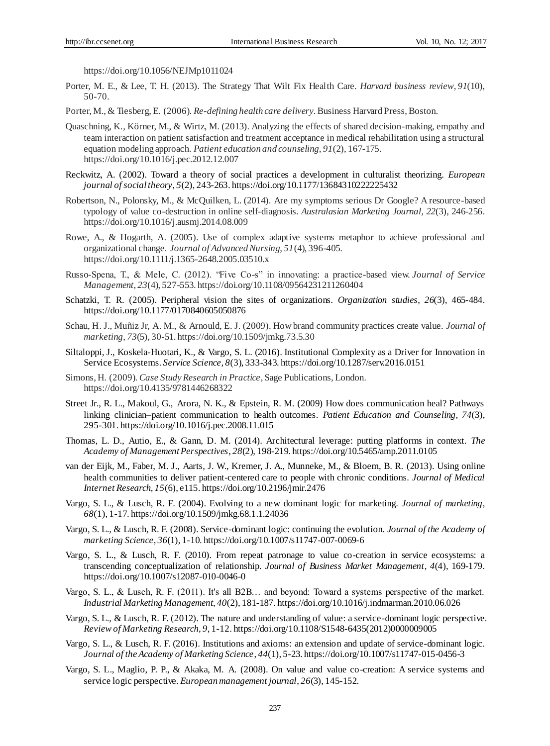https://doi.org/10.1056/NEJMp1011024

Porter, M. E., & Lee, T. H. (2013). The Strategy That Wilt Fix Health Care. *Harvard business review*, *91*(10), 50-70.

Porter, M., & Tiesberg, E. (2006). *Re-defining health care delivery*. Business Harvard Press, Boston.

- Quaschning, K., Körner, M., & Wirtz, M. (2013). Analyzing the effects of shared decision-making, empathy and team interaction on patient satisfaction and treatment acceptance in medical rehabilitation using a structural equation modeling approach. *Patient education and counseling*, *91*(2), 167-175. https://doi.org/10.1016/j.pec.2012.12.007
- Reckwitz, A. (2002). Toward a theory of social practices a development in culturalist theorizing. *European journal of social theory*, *5*(2), 243-263. https://doi.org/10.1177/13684310222225432
- Robertson, N., Polonsky, M., & McQuilken, L. (2014). Are my symptoms serious Dr Google? A resource-based typology of value co-destruction in online self-diagnosis. *Australasian Marketing Journal, 22*(3), 246-256. https://doi.org/10.1016/j.ausmj.2014.08.009
- Rowe, A., & Hogarth, A. (2005). Use of complex adaptive systems metaphor to achieve professional and organizational change. *Journal of Advanced Nursing, 51*(4), 396-405. https://doi.org/10.1111/j.1365-2648.2005.03510.x
- Russo-Spena, T., & Mele, C. (2012). "Five Co-s" in innovating: a practice-based view. *Journal of Service Management*, *23*(4), 527-553. https://doi.org/10.1108/09564231211260404
- Schatzki, T. R. (2005). Peripheral vision the sites of organizations. *Organization studies*, *26*(3), 465-484. https://doi.org/10.1177/0170840605050876
- Schau, H. J., Muñiz Jr, A. M., & Arnould, E. J. (2009). How brand community practices create value. *Journal of marketing*, *73*(5), 30-51. https://doi.org/10.1509/jmkg.73.5.30
- Siltaloppi, J., Koskela-Huotari, K., & Vargo, S. L. (2016). Institutional Complexity as a Driver for Innovation in Service Ecosystems. *Service Science, 8*(3), 333-343. https://doi.org/10.1287/serv.2016.0151
- Simons, H. (2009). *Case Study Research in Practice*, Sage Publications, London. https://doi.org/10.4135/9781446268322
- Street Jr., R. L., Makoul, G., Arora, N. K., & Epstein, R. M. (2009) How does communication heal? Pathways linking clinician–patient communication to health outcomes. *Patient Education and Counseling, 74*(3), 295-301. https://doi.org/10.1016/j.pec.2008.11.015
- Thomas, L. D., Autio, E., & Gann, D. M. (2014). Architectural leverage: putting platforms in context. *The Academy of Management Perspectives*, *28*(2), 198-219. https://doi.org/10.5465/amp.2011.0105
- van der Eijk, M., Faber, M. J., Aarts, J. W., Kremer, J. A., Munneke, M., & Bloem, B. R. (2013). Using online health communities to deliver patient-centered care to people with chronic conditions. *Journal of Medical Internet Research, 15*(6), e115. https://doi.org/10.2196/jmir.2476
- Vargo, S. L., & Lusch, R. F. (2004). Evolving to a new dominant logic for marketing. *Journal of marketing*, *68*(1), 1-17. https://doi.org/10.1509/jmkg.68.1.1.24036
- Vargo, S. L., & Lusch, R. F. (2008). Service-dominant logic: continuing the evolution. *Journal of the Academy of marketing Science*, *36*(1), 1-10. https://doi.org/10.1007/s11747-007-0069-6
- Vargo, S. L., & Lusch, R. F. (2010). From repeat patronage to value co-creation in service ecosystems: a transcending conceptualization of relationship. *Journal of Business Market Management*, *4*(4), 169-179. https://doi.org/10.1007/s12087-010-0046-0
- Vargo, S. L., & Lusch, R. F. (2011). It's all B2B… and beyond: Toward a systems perspective of the market. *Industrial Marketing Management*, *40*(2), 181-187. https://doi.org/10.1016/j.indmarman.2010.06.026
- Vargo, S. L., & Lusch, R. F. (2012). The nature and understanding of value: a service-dominant logic perspective. *Review of Marketing Research*, *9*, 1-12. https://doi.org/10.1108/S1548-6435(2012)0000009005
- Vargo, S. L., & Lusch, R. F. (2016). Institutions and axioms: an extension and update of service-dominant logic. *Journal of the Academy of Marketing Science*, *44*(1), 5-23. https://doi.org/10.1007/s11747-015-0456-3
- Vargo, S. L., Maglio, P. P., & Akaka, M. A. (2008). On value and value co-creation: A service systems and service logic perspective. *European management journal*, *26*(3), 145-152.